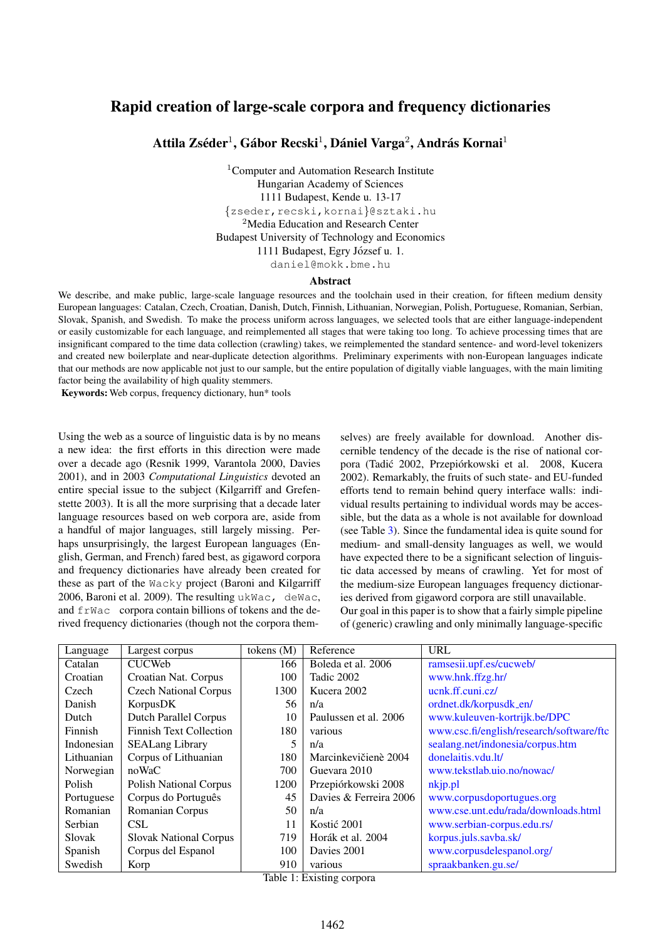# Rapid creation of large-scale corpora and frequency dictionaries

Attila Zséder<sup>1</sup>, Gábor Recski<sup>1</sup>, Dániel Varga<sup>2</sup>, András Kornai<sup>1</sup>

<sup>1</sup>Computer and Automation Research Institute Hungarian Academy of Sciences 1111 Budapest, Kende u. 13-17 {zseder,recski,kornai}@sztaki.hu <sup>2</sup>Media Education and Research Center Budapest University of Technology and Economics 1111 Budapest, Egry József u. 1. daniel@mokk.bme.hu

#### Abstract

We describe, and make public, large-scale language resources and the toolchain used in their creation, for fifteen medium density European languages: Catalan, Czech, Croatian, Danish, Dutch, Finnish, Lithuanian, Norwegian, Polish, Portuguese, Romanian, Serbian, Slovak, Spanish, and Swedish. To make the process uniform across languages, we selected tools that are either language-independent or easily customizable for each language, and reimplemented all stages that were taking too long. To achieve processing times that are insignificant compared to the time data collection (crawling) takes, we reimplemented the standard sentence- and word-level tokenizers and created new boilerplate and near-duplicate detection algorithms. Preliminary experiments with non-European languages indicate that our methods are now applicable not just to our sample, but the entire population of digitally viable languages, with the main limiting factor being the availability of high quality stemmers.

Keywords: Web corpus, frequency dictionary, hun\* tools

Using the web as a source of linguistic data is by no means a new idea: the first efforts in this direction were made over a decade ago (Resnik 1999, Varantola 2000, Davies 2001), and in 2003 *Computational Linguistics* devoted an entire special issue to the subject (Kilgarriff and Grefenstette 2003). It is all the more surprising that a decade later language resources based on web corpora are, aside from a handful of major languages, still largely missing. Perhaps unsurprisingly, the largest European languages (English, German, and French) fared best, as gigaword corpora and frequency dictionaries have already been created for these as part of the Wacky project (Baroni and Kilgarriff 2006, Baroni et al. 2009). The resulting ukWac, deWac, and frWac corpora contain billions of tokens and the derived frequency dictionaries (though not the corpora themselves) are freely available for download. Another discernible tendency of the decade is the rise of national corpora (Tadić 2002, Przepiórkowski et al. 2008, Kucera 2002). Remarkably, the fruits of such state- and EU-funded efforts tend to remain behind query interface walls: individual results pertaining to individual words may be accessible, but the data as a whole is not available for download (see Table [3\)](#page-2-0). Since the fundamental idea is quite sound for medium- and small-density languages as well, we would have expected there to be a significant selection of linguistic data accessed by means of crawling. Yet for most of the medium-size European languages frequency dictionaries derived from gigaword corpora are still unavailable. Our goal in this paper is to show that a fairly simple pipeline of (generic) crawling and only minimally language-specific

| Language   | Largest corpus                 | tokens $(M)$ | Reference              | <b>URL</b>                               |
|------------|--------------------------------|--------------|------------------------|------------------------------------------|
| Catalan    | <b>CUCWeb</b>                  | 166          | Boleda et al. 2006     | ramsesii.upf.es/cucweb/                  |
| Croatian   | Croatian Nat. Corpus           | 100          | Tadic 2002             | www.hnk.ffzg.hr/                         |
| Czech      | <b>Czech National Corpus</b>   | 1300         | Kucera 2002            | ucnk.ff.cuni.cz/                         |
| Danish     | KorpusDK                       | 56           | n/a                    | ordnet.dk/korpusdk_en/                   |
| Dutch      | <b>Dutch Parallel Corpus</b>   | 10           | Paulussen et al. 2006  | www.kuleuven-kortrijk.be/DPC             |
| Finnish    | <b>Finnish Text Collection</b> | 180          | various                | www.csc.fi/english/research/software/ftc |
| Indonesian | <b>SEALang Library</b>         | 5            | n/a                    | sealang.net/indonesia/corpus.htm         |
| Lithuanian | Corpus of Lithuanian           | 180          | Marcinkevičienè 2004   | donelaitis.ydu.lt/                       |
| Norwegian  | noWaC                          | 700          | Guevara 2010           | www.tekstlab.uio.no/nowac/               |
| Polish     | <b>Polish National Corpus</b>  | 1200         | Przepiórkowski 2008    | nkjp.pl                                  |
| Portuguese | Corpus do Português            | 45           | Davies & Ferreira 2006 | www.corpusdoportugues.org                |
| Romanian   | Romanian Corpus                | 50           | n/a                    | www.cse.unt.edu/rada/downloads.html      |
| Serbian    | <b>CSL</b>                     | 11           | Kostić 2001            | www.serbian-corpus.edu.rs/               |
| Slovak     | <b>Slovak National Corpus</b>  | 719          | Horák et al. 2004      | korpus.juls.savba.sk/                    |
| Spanish    | Corpus del Espanol             | 100          | Davies 2001            | www.corpusdelespanol.org/                |
| Swedish    | Korp                           | 910          | various                | spraakbanken.gu.se/                      |

Table 1: Existing corpora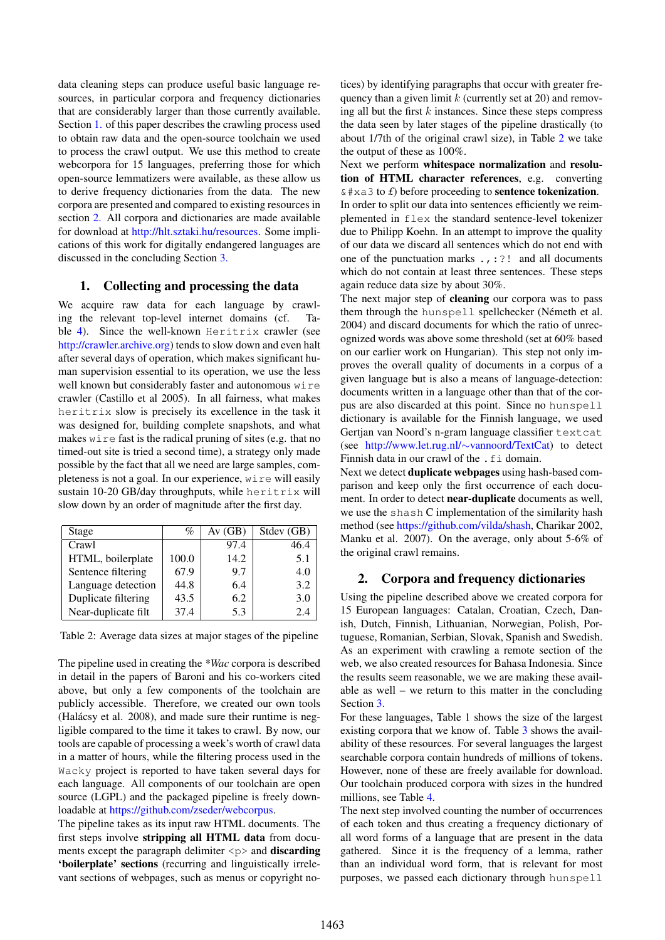data cleaning steps can produce useful basic language resources, in particular corpora and frequency dictionaries that are considerably larger than those currently available. Section [1.](#page-1-0) of this paper describes the crawling process used to obtain raw data and the open-source toolchain we used to process the crawl output. We use this method to create webcorpora for 15 languages, preferring those for which open-source lemmatizers were available, as these allow us to derive frequency dictionaries from the data. The new corpora are presented and compared to existing resources in section [2.](#page-1-1) All corpora and dictionaries are made available for download at [http://hlt.sztaki.hu/resources.](http://hlt.sztaki.hu/resources) Some implications of this work for digitally endangered languages are discussed in the concluding Section [3.](#page-2-1)

# <span id="page-1-0"></span>1. Collecting and processing the data

We acquire raw data for each language by crawling the relevant top-level internet domains (cf. Ta-ble [4\)](#page-2-2). Since the well-known Heritrix crawler (see [http://crawler.archive.org\)](http://crawler.archive.org) tends to slow down and even halt after several days of operation, which makes significant human supervision essential to its operation, we use the less well known but considerably faster and autonomous wire crawler (Castillo et al 2005). In all fairness, what makes heritrix slow is precisely its excellence in the task it was designed for, building complete snapshots, and what makes wire fast is the radical pruning of sites (e.g. that no timed-out site is tried a second time), a strategy only made possible by the fact that all we need are large samples, completeness is not a goal. In our experience, wire will easily sustain 10-20 GB/day throughputs, while heritrix will slow down by an order of magnitude after the first day.

| Stage               | %     | Av(GB) | Stdev (GB) |
|---------------------|-------|--------|------------|
| Crawl               |       | 97.4   | 46.4       |
| HTML, boilerplate   | 100.0 | 14.2   | 5.1        |
| Sentence filtering  | 67.9  | 9.7    | 4.0        |
| Language detection  | 44.8  | 6.4    | 3.2        |
| Duplicate filtering | 43.5  | 6.2    | 3.0        |
| Near-duplicate filt | 37.4  | 5.3    | 2.4        |

<span id="page-1-2"></span>Table 2: Average data sizes at major stages of the pipeline

The pipeline used in creating the *\*Wac* corpora is described in detail in the papers of Baroni and his co-workers cited above, but only a few components of the toolchain are publicly accessible. Therefore, we created our own tools (Halácsy et al. 2008), and made sure their runtime is negligible compared to the time it takes to crawl. By now, our tools are capable of processing a week's worth of crawl data in a matter of hours, while the filtering process used in the Wacky project is reported to have taken several days for each language. All components of our toolchain are open source (LGPL) and the packaged pipeline is freely downloadable at [https://github.com/zseder/webcorpus.](https://github.com/zseder/webcorpus)

The pipeline takes as its input raw HTML documents. The first steps involve stripping all HTML data from documents except the paragraph delimiter  $\langle p \rangle$  and **discarding** 'boilerplate' sections (recurring and linguistically irrelevant sections of webpages, such as menus or copyright notices) by identifying paragraphs that occur with greater frequency than a given limit  $k$  (currently set at 20) and removing all but the first  $k$  instances. Since these steps compress the data seen by later stages of the pipeline drastically (to about 1/7th of the original crawl size), in Table [2](#page-1-2) we take the output of these as 100%.

Next we perform whitespace normalization and resolution of HTML character references, e.g. converting  $& # \times a \cdot 3$  to *£*) before proceeding to **sentence tokenization**. In order to split our data into sentences efficiently we reimplemented in flex the standard sentence-level tokenizer due to Philipp Koehn. In an attempt to improve the quality of our data we discard all sentences which do not end with one of the punctuation marks .,:?! and all documents which do not contain at least three sentences. These steps again reduce data size by about 30%.

The next major step of cleaning our corpora was to pass them through the hunspell spellchecker (Németh et al. 2004) and discard documents for which the ratio of unrecognized words was above some threshold (set at 60% based on our earlier work on Hungarian). This step not only improves the overall quality of documents in a corpus of a given language but is also a means of language-detection: documents written in a language other than that of the corpus are also discarded at this point. Since no hunspell dictionary is available for the Finnish language, we used Gertjan van Noord's n-gram language classifier textcat (see [http://www.let.rug.nl/](http://www.let.rug.nl/~vannoord/TextCat)∼vannoord/TextCat) to detect Finnish data in our crawl of the . fi domain.

Next we detect duplicate webpages using hash-based comparison and keep only the first occurrence of each document. In order to detect near-duplicate documents as well, we use the shash C implementation of the similarity hash method (see [https://github.com/vilda/shash,](https://github.com/vilda/shash) Charikar 2002, Manku et al. 2007). On the average, only about 5-6% of the original crawl remains.

## <span id="page-1-1"></span>2. Corpora and frequency dictionaries

Using the pipeline described above we created corpora for 15 European languages: Catalan, Croatian, Czech, Danish, Dutch, Finnish, Lithuanian, Norwegian, Polish, Portuguese, Romanian, Serbian, Slovak, Spanish and Swedish. As an experiment with crawling a remote section of the web, we also created resources for Bahasa Indonesia. Since the results seem reasonable, we we are making these available as well – we return to this matter in the concluding Section [3.](#page-2-1)

For these languages, Table 1 shows the size of the largest existing corpora that we know of. Table [3](#page-2-0) shows the availability of these resources. For several languages the largest searchable corpora contain hundreds of millions of tokens. However, none of these are freely available for download. Our toolchain produced corpora with sizes in the hundred millions, see Table [4.](#page-2-2)

The next step involved counting the number of occurrences of each token and thus creating a frequency dictionary of all word forms of a language that are present in the data gathered. Since it is the frequency of a lemma, rather than an individual word form, that is relevant for most purposes, we passed each dictionary through hunspell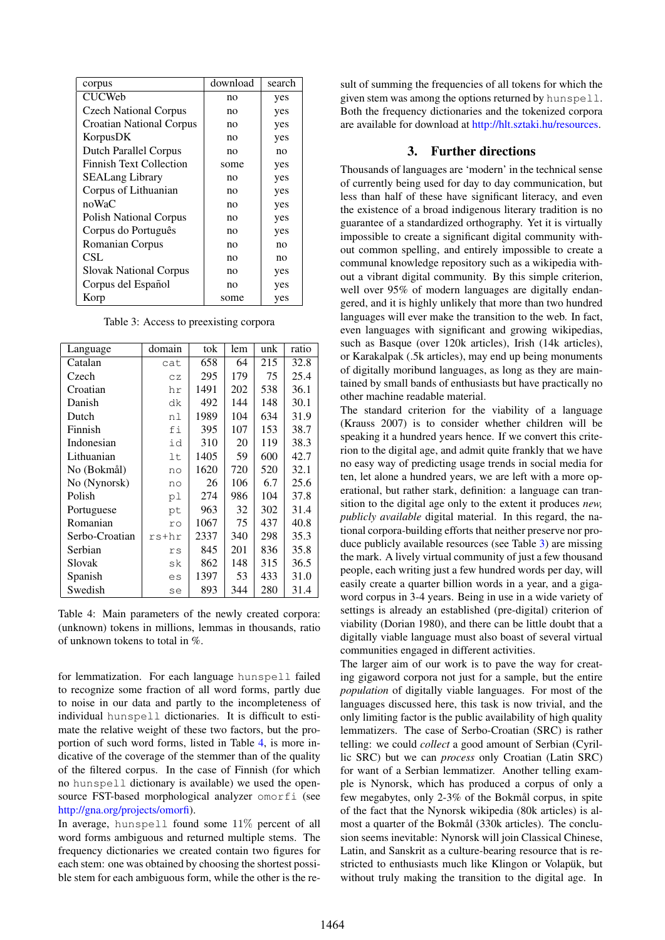| corpus                         | download | search |  |
|--------------------------------|----------|--------|--|
| <b>CUCWeb</b>                  | no       | yes    |  |
| <b>Czech National Corpus</b>   | no       | yes    |  |
| Croatian National Corpus       | no       | yes    |  |
| KorpusDK                       | no       | yes    |  |
| Dutch Parallel Corpus          | no       | no     |  |
| <b>Finnish Text Collection</b> | some     | yes    |  |
| <b>SEALang Library</b>         | no       | yes    |  |
| Corpus of Lithuanian           | no       | yes    |  |
| noWaC                          | no       | yes    |  |
| <b>Polish National Corpus</b>  | no       | yes    |  |
| Corpus do Português            | no       | yes    |  |
| Romanian Corpus                | no       | no     |  |
| CSL                            | no       | no     |  |
| <b>Slovak National Corpus</b>  | no       | yes    |  |
| Corpus del Español             | no       | yes    |  |
| Korp                           | some     | yes    |  |

<span id="page-2-0"></span>Table 3: Access to preexisting corpora

| Language       | domain | tok  | lem | unk | ratio |
|----------------|--------|------|-----|-----|-------|
| Catalan        | cat    | 658  | 64  | 215 | 32.8  |
| Czech          | CZ     | 295  | 179 | 75  | 25.4  |
| Croatian       | hr     | 1491 | 202 | 538 | 36.1  |
| Danish         | dk     | 492  | 144 | 148 | 30.1  |
| Dutch          | n l    | 1989 | 104 | 634 | 31.9  |
| Finnish        | fi     | 395  | 107 | 153 | 38.7  |
| Indonesian     | id     | 310  | 20  | 119 | 38.3  |
| Lithuanian     | lt     | 1405 | 59  | 600 | 42.7  |
| No (Bokmål)    | no     | 1620 | 720 | 520 | 32.1  |
| No (Nynorsk)   | no     | 26   | 106 | 6.7 | 25.6  |
| Polish         | рl     | 274  | 986 | 104 | 37.8  |
| Portuguese     | pt     | 963  | 32  | 302 | 31.4  |
| Romanian       | ro     | 1067 | 75  | 437 | 40.8  |
| Serbo-Croatian | rs+hr  | 2337 | 340 | 298 | 35.3  |
| Serbian        | rs     | 845  | 201 | 836 | 35.8  |
| Slovak         | sk     | 862  | 148 | 315 | 36.5  |
| Spanish        | es     | 1397 | 53  | 433 | 31.0  |
| Swedish        | se     | 893  | 344 | 280 | 31.4  |

<span id="page-2-2"></span>Table 4: Main parameters of the newly created corpora: (unknown) tokens in millions, lemmas in thousands, ratio of unknown tokens to total in %.

for lemmatization. For each language hunspell failed to recognize some fraction of all word forms, partly due to noise in our data and partly to the incompleteness of individual hunspell dictionaries. It is difficult to estimate the relative weight of these two factors, but the proportion of such word forms, listed in Table [4,](#page-2-2) is more indicative of the coverage of the stemmer than of the quality of the filtered corpus. In the case of Finnish (for which no hunspell dictionary is available) we used the opensource FST-based morphological analyzer omorfi (see [http://gna.org/projects/omorfi\)](http://gna.org/projects/omorfi/).

In average, hunspell found some 11% percent of all word forms ambiguous and returned multiple stems. The frequency dictionaries we created contain two figures for each stem: one was obtained by choosing the shortest possible stem for each ambiguous form, while the other is the result of summing the frequencies of all tokens for which the given stem was among the options returned by hunspell. Both the frequency dictionaries and the tokenized corpora are available for download at [http://hlt.sztaki.hu/resources.](http://hlt.sztaki.hu/resources)

## 3. Further directions

<span id="page-2-1"></span>Thousands of languages are 'modern' in the technical sense of currently being used for day to day communication, but less than half of these have significant literacy, and even the existence of a broad indigenous literary tradition is no guarantee of a standardized orthography. Yet it is virtually impossible to create a significant digital community without common spelling, and entirely impossible to create a communal knowledge repository such as a wikipedia without a vibrant digital community. By this simple criterion, well over 95% of modern languages are digitally endangered, and it is highly unlikely that more than two hundred languages will ever make the transition to the web. In fact, even languages with significant and growing wikipedias, such as Basque (over 120k articles), Irish (14k articles), or Karakalpak (.5k articles), may end up being monuments of digitally moribund languages, as long as they are maintained by small bands of enthusiasts but have practically no other machine readable material.

The standard criterion for the viability of a language (Krauss 2007) is to consider whether children will be speaking it a hundred years hence. If we convert this criterion to the digital age, and admit quite frankly that we have no easy way of predicting usage trends in social media for ten, let alone a hundred years, we are left with a more operational, but rather stark, definition: a language can transition to the digital age only to the extent it produces *new, publicly available* digital material. In this regard, the national corpora-building efforts that neither preserve nor produce publicly available resources (see Table [3\)](#page-2-0) are missing the mark. A lively virtual community of just a few thousand people, each writing just a few hundred words per day, will easily create a quarter billion words in a year, and a gigaword corpus in 3-4 years. Being in use in a wide variety of settings is already an established (pre-digital) criterion of viability (Dorian 1980), and there can be little doubt that a digitally viable language must also boast of several virtual communities engaged in different activities.

The larger aim of our work is to pave the way for creating gigaword corpora not just for a sample, but the entire *population* of digitally viable languages. For most of the languages discussed here, this task is now trivial, and the only limiting factor is the public availability of high quality lemmatizers. The case of Serbo-Croatian (SRC) is rather telling: we could *collect* a good amount of Serbian (Cyrillic SRC) but we can *process* only Croatian (Latin SRC) for want of a Serbian lemmatizer. Another telling example is Nynorsk, which has produced a corpus of only a few megabytes, only  $2-3\%$  of the Bokmål corpus, in spite of the fact that the Nynorsk wikipedia (80k articles) is almost a quarter of the Bokmål (330k articles). The conclusion seems inevitable: Nynorsk will join Classical Chinese, Latin, and Sanskrit as a culture-bearing resource that is restricted to enthusiasts much like Klingon or Volapük, but without truly making the transition to the digital age. In